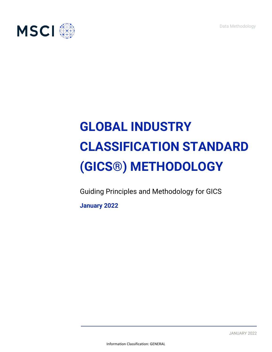Data Methodology



# **GLOBAL INDUSTRY CLASSIFICATION STANDARD (GICS®) METHODOLOGY**

Guiding Principles and Methodology for GICS

**January 2022**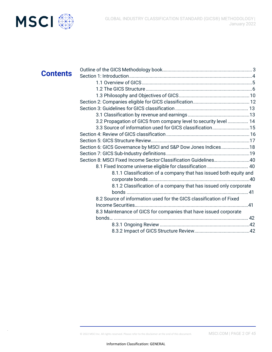



| <b>Contents</b> |                                                                     |  |
|-----------------|---------------------------------------------------------------------|--|
|                 |                                                                     |  |
|                 |                                                                     |  |
|                 |                                                                     |  |
|                 |                                                                     |  |
|                 |                                                                     |  |
|                 |                                                                     |  |
|                 | 3.2 Propagation of GICS from company level to security level  14    |  |
|                 | 3.3 Source of information used for GICS classification15            |  |
|                 |                                                                     |  |
|                 |                                                                     |  |
|                 | Section 6: GICS Governance by MSCI and S&P Dow Jones Indices18      |  |
|                 |                                                                     |  |
|                 | Section 8: MSCI Fixed Income Sector Classification Guidelines40     |  |
|                 | 8.1 Fixed Income universe eligible for classification  40           |  |
|                 | 8.1.1 Classification of a company that has issued both equity and   |  |
|                 |                                                                     |  |
|                 | 8.1.2 Classification of a company that has issued only corporate    |  |
|                 |                                                                     |  |
|                 | 8.2 Source of information used for the GICS classification of Fixed |  |
|                 |                                                                     |  |
|                 | 8.3 Maintenance of GICS for companies that have issued corporate    |  |
|                 |                                                                     |  |
|                 |                                                                     |  |
|                 |                                                                     |  |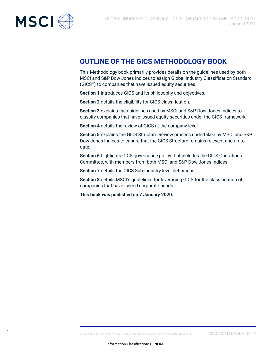<span id="page-2-0"></span>

## **OUTLINE OF THE GICS METHODOLOGY BOOK**

This Methodology book primarily provides details on the guidelines used by both MSCI and S&P Dow Jones Indices to assign Global Industry Classification Standard (GICS®) to companies that have issued equity securities.

**Section 1** introduces GICS and its philosophy and objectives.

**Section 2** details the eligibility for GICS classification.

**Section 3** explains the guidelines used by MSCI and S&P Dow Jones Indices to classify companies that have issued equity securities under the GICS framework.

**Section 4** details the review of GICS at the company level.

**Section 5** explains the GICS Structure Review process undertaken by MSCI and S&P Dow Jones Indices to ensure that the GICS Structure remains relevant and up-todate.

**Section 6** highlights GICS governance policy that includes the GICS Operations Committee, with members from both MSCI and S&P Dow Jones Indices.

**Section 7** details the GICS Sub-Industry level definitions.

**Section 8** details MSCI's guidelines for leveraging GICS for the classification of companies that have issued corporate bonds.

**This book was published on 7 January 2020.**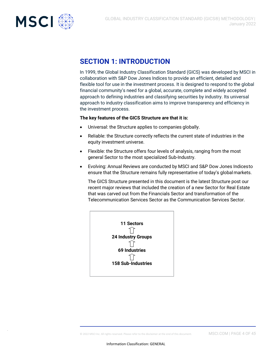<span id="page-3-0"></span>

## **SECTION 1: INTRODUCTION**

In 1999, the Global Industry Classification Standard (GICS) was developed by MSCI in collaboration with S&P Dow Jones Indices to provide an efficient, detailed and flexible tool for use in the investment process. It is designed to respond to the global financial community's need for a global, accurate, complete and widely accepted approach to defining industries and classifying securities by industry. Its universal approach to industry classification aims to improve transparency and efficiency in the investment process.

#### **The key features of the GICS Structure are that it is:**

- Universal: the Structure applies to companies globally.
- Reliable: the Structure correctly reflects the current state of industries in the equity investment universe.
- Flexible: the Structure offers four levels of analysis, ranging from the most general Sector to the most specialized Sub-Industry.
- Evolving: Annual Reviews are conducted by MSCI and S&P Dow Jones Indicesto ensure that the Structure remains fully representative of today's globalmarkets.

The GICS Structure presented in this document is the latest Structure post our recent major reviews that included the creation of a new Sector for Real Estate that was carved out from the Financials Sector and transformation of the Telecommunication Services Sector as the Communication Services Sector.

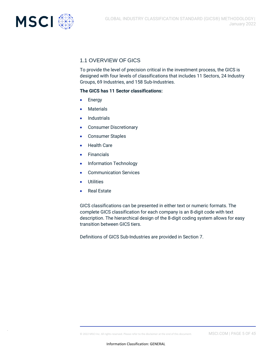<span id="page-4-0"></span>

### 1.1 OVERVIEW OF GICS

To provide the level of precision critical in the investment process, the GICS is designed with four levels of classifications that includes 11 Sectors, 24 Industry Groups, 69 Industries, and 158 Sub-Industries.

#### **The GICS has 11 Sector classifications:**

- **Energy**
- **Materials**
- **Industrials**
- Consumer Discretionary
- Consumer Staples
- **Health Care**
- Financials
- Information Technology
- Communication Services
- **Utilities**
- **Real Estate**

GICS classifications can be presented in either text or numeric formats. The complete GICS classification for each company is an 8-digit code with text description. The hierarchical design of the 8-digit coding system allows for easy transition between GICS tiers.

Definitions of GICS Sub-Industries are provided in Section 7.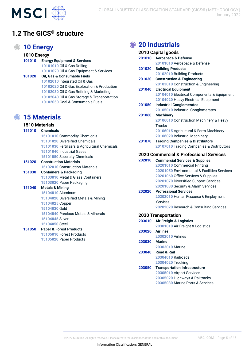<span id="page-5-0"></span>

## **1.2 The GICS® structure**

## **10 Energy**

### **1010 Energy**

| 101010 | <b>Energy Equipment &amp; Services</b>      |  |
|--------|---------------------------------------------|--|
|        | 10101010 Oil & Gas Drilling                 |  |
|        | 10101020 Oil & Gas Equipment & Services     |  |
| 101020 | Oil, Gas & Consumable Fuels                 |  |
|        | 10102010 Integrated Oil & Gas               |  |
|        | 10102020 Oil & Gas Exploration & Production |  |
|        | 10102030 Oil & Gas Refining & Marketing     |  |
|        | 10102040 Oil & Gas Storage & Transportation |  |
|        | 10102050 Coal & Consumable Fuels            |  |
|        |                                             |  |

### **15 Materials**

#### **1510 Materials**

| 151010 | <b>Chemicals</b>                              |
|--------|-----------------------------------------------|
|        |                                               |
|        | 15101010 Commodity Chemicals                  |
|        | 15101020 Diversified Chemicals                |
|        | 15101030 Fertilizers & Agricultural Chemicals |
|        | 15101040 Industrial Gases                     |
|        | 15101050 Specialty Chemicals                  |
| 151020 | <b>Construction Materials</b>                 |
|        | 15102010 Construction Materials               |
| 151030 | <b>Containers &amp; Packaging</b>             |
|        | 15103010 Metal & Glass Containers             |
|        | 15103020 Paper Packaging                      |
| 151040 | <b>Metals &amp; Mining</b>                    |
|        | 15104010 Aluminum                             |
|        | 15104020 Diversified Metals & Mining          |
|        | 15104025 Copper                               |
|        | 15104030 Gold                                 |
|        | 15104040 Precious Metals & Minerals           |
|        | 15104045 Silver                               |
|        | 15104050 Steel                                |
| 151050 | <b>Paper &amp; Forest Products</b>            |
|        | 15105010 Forgot Draduato                      |

Forest Products Paper Products

## **20 Industrials**

| 2010 Capital goods                                 |                                              |  |
|----------------------------------------------------|----------------------------------------------|--|
| 201010                                             | <b>Aerospace &amp; Defense</b>               |  |
|                                                    | 20101010 Aerospace & Defense                 |  |
| 201020                                             | <b>Building Products</b>                     |  |
|                                                    | 20102010 Building Products                   |  |
| 201030                                             | <b>Construction &amp; Engineering</b>        |  |
|                                                    | 20103010 Construction & Engineering          |  |
| 201040                                             | <b>Electrical Equipment</b>                  |  |
|                                                    | 20104010 Electrical Components & Equipment   |  |
|                                                    | 20104020 Heavy Electrical Equipment          |  |
| 201050                                             | <b>Industrial Conglomerates</b>              |  |
|                                                    | 20105010 Industrial Conglomerates            |  |
| 201060                                             | <b>Machinery</b>                             |  |
|                                                    | 20106010 Construction Machinery & Heavy      |  |
|                                                    | <b>Trucks</b>                                |  |
|                                                    | 20106015 Agricultural & Farm Machinery       |  |
|                                                    | 20106020 Industrial Machinery                |  |
| 201070                                             | <b>Trading Companies &amp; Distributors</b>  |  |
|                                                    | 20107010 Trading Companies & Distributors    |  |
| <b>2020 Commercial &amp; Professional Services</b> |                                              |  |
| 202010                                             | <b>Commercial Services &amp; Supplies</b>    |  |
|                                                    | 20201010 Commercial Printing                 |  |
|                                                    | 20201050 Environmental & Facilities Services |  |
|                                                    | 20201060 Office Services & Supplies          |  |
|                                                    | 20201070 Diversified Support Services        |  |
|                                                    | 20201080 Security & Alarm Services           |  |
| 202020                                             | <b>Professional Services</b>                 |  |
|                                                    | 20202010 Human Resource & Employment         |  |
|                                                    | <b>Services</b>                              |  |
|                                                    | 20202020 Research & Consulting Services      |  |
|                                                    | <b>2030 Transportation</b>                   |  |
| 203010                                             | <b>Air Freight &amp; Logistics</b>           |  |
|                                                    | 20301010 Air Freight & Logistics             |  |
| 203020                                             | <b>Airlines</b>                              |  |
|                                                    | 20302010 Airlines                            |  |
| 203030                                             | Marine                                       |  |
|                                                    | 20303010 Marine                              |  |
| 203040                                             | <b>Road &amp; Rail</b>                       |  |
|                                                    | 20304010 Railroads                           |  |
|                                                    | 20304020 Trucking                            |  |
| 203050                                             | <b>Transportation Infrastructure</b>         |  |
|                                                    | 20305010 Airport Services                    |  |
|                                                    | 20305020 Highways & Railtracks               |  |
|                                                    | 20305030 Marine Ports & Services             |  |
|                                                    |                                              |  |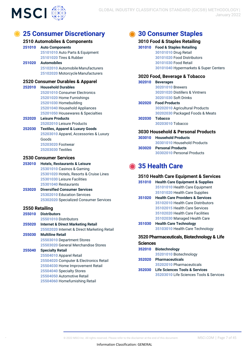

## **25 Consumer Discretionary**

#### **2510 Automobiles & Components**

#### **Auto Components Automobiles** Auto Parts & Equipment Tires & Rubber Automobile Manufacturers Motorcycle Manufacturers

#### **2520 Consumer Durables & Apparel**

 **Household Durables** Consumer Electronics Home Furnishings Homebuilding Household Appliances Housewares & Specialties

**Leisure Products** Leisure Products 

#### **Textiles, Apparel & Luxury Goods**  Apparel, Accessories & Luxury Goods Footwear Textiles

#### **2530 Consumer Services**

 **Hotels, Restaurants & Leisure**  Casinos & Gaming Hotels, Resorts & Cruise Lines Leisure Facilities Restaurants

 **Diversified Consumer Services**  Education Services Specialized Consumer Services

#### **2550 Retailing**

| 255010 | <b>Distributors</b>                           |
|--------|-----------------------------------------------|
|        | 25501010 Distributors                         |
| 255020 | <b>Internet &amp; Direct Marketing Retail</b> |
|        | 25502020 Internet & Direct Marketing Retail   |
| 255030 | <b>Multiline Retail</b>                       |
|        | 25503010 Department Stores                    |
|        | 25503020 General Merchandise Stores           |
| 255040 | <b>Specialty Retail</b>                       |
|        | 25504010 Apparel Retail                       |
|        | 25504020 Computer & Electronics Retail        |
|        | 25504030 Home Improvement Retail              |
|        | 25504040 Specialty Stores                     |
|        | 25504050 Automotive Retail                    |

Homefurnishing Retail

## **30 Consumer Staples**

#### **3010 Food & Staples Retailing**

 **Food & Staples Retailing**  Drug Retail Food Distributors Food Retail Hypermarkets & Super Centers

#### **3020 Food, Beverage & Tobacco**

| 302010                             | <b>Beverages</b>                |  |
|------------------------------------|---------------------------------|--|
|                                    | 30201010 Brewers                |  |
|                                    | 30201020 Distillers & Vintners  |  |
|                                    | 30201030 Soft Drinks            |  |
|                                    | 302020 Food Products            |  |
|                                    | 30202010 Agricultural Products  |  |
|                                    | 30202030 Packaged Foods & Meats |  |
|                                    | 302030 Tobacco                  |  |
|                                    | 30203010 Tobacco                |  |
| 3030 Household & Personal Products |                                 |  |
|                                    | 303010 Household Products       |  |
|                                    | 30301010 Household Products     |  |

 **Personal Products** Personal Products

## **35 Health Care**

### **3510 Health Care Equipment & Services**

| 351010 | <b>Health Care Equipment &amp; Supplies</b> |  |
|--------|---------------------------------------------|--|
|        | 35101010 Health Care Equipment              |  |
|        | 35101020 Health Care Supplies               |  |
| 351020 | <b>Health Care Providers &amp; Services</b> |  |
|        | 35102010 Health Care Distributors           |  |
|        | 35102015 Health Care Services               |  |
|        | 35102020 Health Care Facilities             |  |
|        | 35102030 Managed Health Care                |  |
| 351030 | <b>Health Care Technology</b>               |  |
|        | 35103010 Health Care Technology             |  |
|        |                                             |  |

#### **3520 Pharmaceuticals, Biotechnology & Life Sciences**

#### **Biotechnology** Biotechnology **Pharmaceuticals**

- Pharmaceuticals **Life Sciences Tools & Services**
	- Life Sciences Tools & Services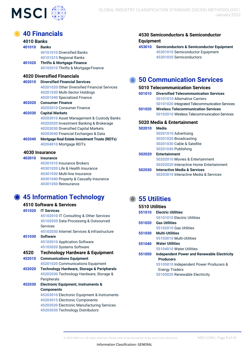

| <b>40 Financials</b> |                                                       |  |
|----------------------|-------------------------------------------------------|--|
| <b>4010 Banks</b>    |                                                       |  |
| 401010               | <b>Banks</b>                                          |  |
|                      | 40101010 Diversified Banks                            |  |
|                      | 40101015 Regional Banks                               |  |
| 401020               | <b>Thrifts &amp; Mortgage Finance</b>                 |  |
|                      | 40102010 Thrifts & Mortgage Finance                   |  |
|                      | <b>4020 Diversified Financials</b>                    |  |
| 402010               | <b>Diversified Financial Services</b>                 |  |
|                      | 40201020 Other Diversified Financial Services         |  |
|                      | 40201030 Multi-Sector Holdings                        |  |
|                      | 40201040 Specialized Finance                          |  |
| 402020               | <b>Consumer Finance</b>                               |  |
|                      | 40202010 Consumer Finance                             |  |
| 402030               | <b>Capital Markets</b>                                |  |
|                      | 40203010 Asset Management & Custody Banks             |  |
|                      | 40203020 Investment Banking & Brokerage               |  |
|                      | 40203030 Diversified Capital Markets                  |  |
|                      | 40203040 Financial Exchanges & Data                   |  |
| 402040               | <b>Mortgage Real Estate Investment Trusts (REITs)</b> |  |
|                      | 40204010 Mortgage REITs                               |  |
| 4030 Insurance       |                                                       |  |
| 403010               | <b>Insurance</b>                                      |  |
|                      | 40301010 Insurance Brokers                            |  |
|                      | 40301020 Life & Health Insurance                      |  |
|                      | 40301030 Multi-line Insurance                         |  |

## **45 Information Technology**

Reinsurance

Property & Casualty Insurance

| 4510 Software & Services |                                                       |  |
|--------------------------|-------------------------------------------------------|--|
| 451020                   | <b>IT Services</b>                                    |  |
|                          | 45102010 IT Consulting & Other Services               |  |
|                          | 45102020 Data Processing & Outsourced                 |  |
|                          | Services                                              |  |
|                          | 45102030 Internet Services & Infrastructure           |  |
| 451030                   | <b>Software</b>                                       |  |
|                          | 45103010 Application Software                         |  |
|                          | 45103020 Systems Software                             |  |
| 4520                     | <b>Technology Hardware &amp; Equipment</b>            |  |
| 452010                   | <b>Communications Equipment</b>                       |  |
|                          | 45201020 Communications Equipment                     |  |
| 452020                   | <b>Technology Hardware, Storage &amp; Peripherals</b> |  |
|                          | 45202030 Technology Hardware, Storage &               |  |
|                          | Peripherals                                           |  |
| 452030                   | <b>Electronic Equipment, Instruments &amp;</b>        |  |
|                          | <b>Components</b>                                     |  |
|                          | 45203010 Electronic Equipment & Instruments           |  |
|                          | 45203015 Electronic Components                        |  |
|                          | 45203020 Electronic Manufacturing Services            |  |

Electronic Manufacturing Services Technology Distributors

**4530 Semiconductors & Semiconductor Equipment**

 **Semiconductors & Semiconductor Equipment**  Semiconductor Equipment Semiconductors

## **50 Communication Services**

### **5010 Telecommunication Services**

- **Diversified Telecommunication Services**  Alternative Carriers Integrated Telecommunication Services
- **Wireless Telecommunication Services**  Wireless Telecommunication Services

### **5020 Media & Entertainment**

| 502010 | Media                                   |  |  |
|--------|-----------------------------------------|--|--|
|        | 50201010 Advertising                    |  |  |
|        | 50201020 Broadcasting                   |  |  |
|        | 50201030 Cable & Satellite              |  |  |
|        | 50201040 Publishing                     |  |  |
| 502020 | <b>Entertainment</b>                    |  |  |
|        | 50202010 Movies & Entertainment         |  |  |
|        | 50202020 Interactive Home Entertainment |  |  |
| 502030 | <b>Interactive Media &amp; Services</b> |  |  |
|        | 50203010 Interactive Media & Services   |  |  |
|        |                                         |  |  |

## **55 Utilities**

### **5510 Utilities**

| 551010 | <b>Electric Utilities</b>                   |
|--------|---------------------------------------------|
|        | 55101010 Electric Utilities                 |
| 551020 | <b>Gas Utilities</b>                        |
|        | 55102010 Gas Utilities                      |
| 551030 | <b>Multi-Utilities</b>                      |
|        | 55103010 Multi-Utilities                    |
| 551040 | <b>Water Utilities</b>                      |
|        | 55104010 Water Utilities                    |
| 551050 | Independent Power and Renewable Electricity |
|        | <b>Producers</b>                            |
|        | 55105010 Independent Power Producers &      |
|        | <b>Energy Traders</b>                       |
|        | 55105020 Renewable Electricity              |
|        |                                             |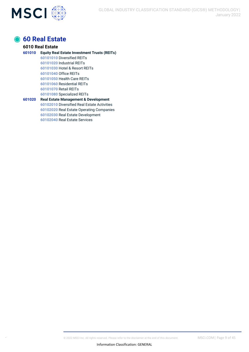

## **60 Real Estate**

#### **6010 Real Estate Equity Real Estate Investment Trusts (REITs)**  Diversified REITs Industrial REITs Hotel & Resort REITs Office REITs Health Care REITs Residential REITs Retail REITs Specialized REITs **Real Estate Management & Development**  Diversified Real Estate Activities Real Estate Operating Companies

Real Estate Development Real Estate Services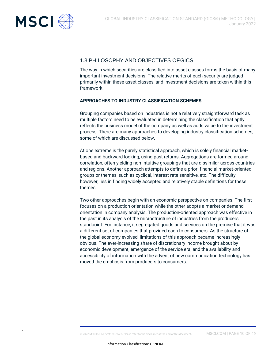

### <span id="page-9-0"></span>1.3 PHILOSOPHY AND OBJECTIVES OFGICS

The way in which securities are classified into asset classes forms the basis of many important investment decisions. The relative merits of each security are judged primarily within these asset classes, and investment decisions are taken within this framework.

### **APPROACHES TO INDUSTRY CLASSIFICATION SCHEMES**

Grouping companies based on industries is not a relatively straightforward task as multiple factors need to be evaluated in determining the classification that aptly reflects the business model of the company as well as adds value to the investment process. There are many approaches to developing industry classification schemes, some of which are discussed below.

At one extreme is the purely statistical approach, which is solely financial marketbased and backward looking, using past returns. Aggregations are formed around correlation, often yielding non-intuitive groupings that are dissimilar across countries and regions. Another approach attempts to define a priori financial market-oriented groups or themes, such as cyclical, interest rate sensitive, etc. The difficulty, however, lies in finding widely accepted and relatively stable definitions for these themes.

Two other approaches begin with an economic perspective on companies. The first focuses on a production orientation while the other adopts a market or demand orientation in company analysis. The production-oriented approach was effective in the past in its analysis of the microstructure of industries from the producers' standpoint. For instance, it segregated goods and services on the premise that it was a different set of companies that provided each to consumers. As the structure of the global economy evolved, limitations of this approach became increasingly obvious. The ever-increasing share of discretionary income brought about by economic development, emergence of the service era, and the availability and accessibility of information with the advent of new communication technology has moved the emphasis from producers to consumers.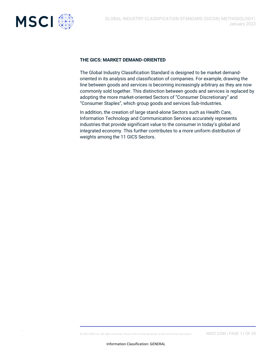

#### **THE GICS: MARKET DEMAND-ORIENTED**

The Global Industry Classification Standard is designed to be market demandoriented in its analysis and classification of companies. For example, drawing the line between goods and services is becoming increasingly arbitrary as they are now commonly sold together. This distinction between goods and services is replaced by adopting the more market-oriented Sectors of "Consumer Discretionary" and "Consumer Staples", which group goods and services Sub-Industries.

In addition, the creation of large stand-alone Sectors such as Health Care, Information Technology and Communication Services accurately represents industries that provide significant value to the consumer in today's global and integrated economy. This further contributes to a more uniform distribution of weights among the 11 GICS Sectors.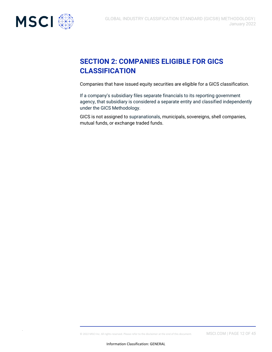

## <span id="page-11-0"></span>**SECTION 2: COMPANIES ELIGIBLE FOR GICS CLASSIFICATION**

Companies that have issued equity securities are eligible for a GICS classification.

If a company's subsidiary files separate financials to its reporting government agency, that subsidiary is considered a separate entity and classified independently under the GICS Methodology.

GICS is not assigned to supranationals, municipals, sovereigns, shell companies, mutual funds, or exchange traded funds.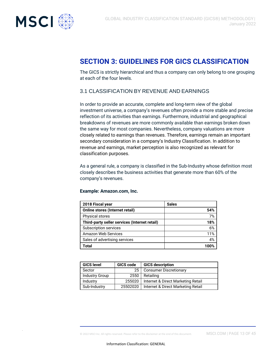

## <span id="page-12-0"></span>**SECTION 3: GUIDELINES FOR GICS CLASSIFICATION**

The GICS is strictly hierarchical and thus a company can only belong to one grouping at each of the four levels.

### <span id="page-12-1"></span>3.1 CLASSIFICATION BY REVENUE AND EARNINGS

In order to provide an accurate, complete and long-term view of the global investment universe, a company's revenues often provide a more stable and precise reflection of its activities than earnings. Furthermore, industrial and geographical breakdowns of revenues are more commonly available than earnings broken down the same way for most companies. Nevertheless, company valuations are more closely related to earnings than revenues. Therefore, earnings remain an important secondary consideration in a company's Industry Classification. In addition to revenue and earnings, market perception is also recognized as relevant for classification purposes.

As a general rule, a company is classified in the Sub-Industry whose definition most closely describes the business activities that generate more than 60% of the company's revenues.

#### **Example: Amazon.com, Inc.**

| 2018 Fiscal year                              | <b>Sales</b> |
|-----------------------------------------------|--------------|
| <b>Online stores (Internet retail)</b>        | 54%          |
| <b>Physical stores</b>                        | 7%           |
| Third-party seller services (Internet retail) | 18%          |
| Subscription services                         | 6%           |
| Amazon Web Services                           | 11%          |
| Sales of advertising services                 | 4%           |
| Total                                         |              |

| <b>GICS level</b>     | GICS code | <b>GICS description</b>            |
|-----------------------|-----------|------------------------------------|
| Sector                | 25        | <b>Consumer Discretionary</b>      |
| <b>Industry Group</b> | 2550      | Retailing                          |
| Industry              | 255020    | Internet & Direct Marketing Retail |
| Sub-Industry          | 25502020  | Internet & Direct Marketing Retail |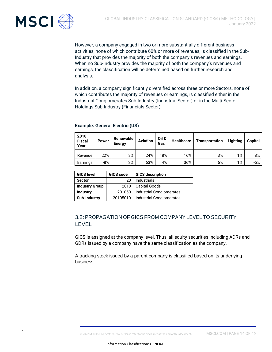

However, a company engaged in two or more substantially different business activities, none of which contribute 60% or more of revenues, is classified in the Sub-Industry that provides the majority of both the company's revenues and earnings. When no Sub-Industry provides the majority of both the company's revenues and earnings, the classification will be determined based on further research and analysis.

In addition, a company significantly diversified across three or more Sectors, none of which contributes the majority of revenues or earnings, is classified either in the Industrial Conglomerates Sub-Industry (Industrial Sector) or in the Multi-Sector Holdings Sub-Industry (Financials Sector).

| <b>Example: General Electric (US)</b> |  |  |  |
|---------------------------------------|--|--|--|
|---------------------------------------|--|--|--|

| 2018<br><b>Fiscal</b><br>Year | <b>Power</b> | Renewable<br><b>Energy</b> | <b>Aviation</b> | Oil &<br>Gas | <b>Healthcare</b> | <b>Transportation</b> | Lighting | <b>Capital</b> |
|-------------------------------|--------------|----------------------------|-----------------|--------------|-------------------|-----------------------|----------|----------------|
| Revenue                       | 22%          | 8%                         | 24%             | 18%          | 16%               | 3%                    | 1%       | 8%             |
| Earnings                      | $-8%$        | 3%                         | 63%             | 4%           | 36%               | 6%                    | 1%       | -5%            |

| <b>GICS level</b>     | GICS code | <b>GICS description</b>  |
|-----------------------|-----------|--------------------------|
| <b>Sector</b>         | 20        | <b>Industrials</b>       |
| <b>Industry Group</b> | 2010      | <b>Capital Goods</b>     |
| <b>Industry</b>       | 201050    | Industrial Conglomerates |
| <b>Sub-Industry</b>   | 20105010  | Industrial Conglomerates |

### <span id="page-13-0"></span>3.2: PROPAGATION OF GICS FROM COMPANY LEVEL TO SECURITY LEVEL

GICS is assigned at the company level. Thus, all equity securities including ADRs and GDRs issued by a company have the same classification as the company.

A tracking stock issued by a parent company is classified based on its underlying business.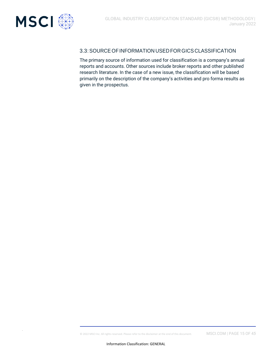<span id="page-14-0"></span>

### 3.3:SOURCE OFINFORMATION USED FORGICS CLASSIFICATION

The primary source of information used for classification is a company's annual reports and accounts. Other sources include broker reports and other published research literature. In the case of a new issue, the classification will be based primarily on the description of the company's activities and pro forma results as given in the prospectus.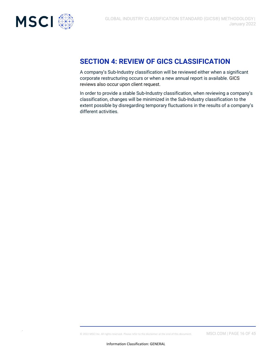

## <span id="page-15-0"></span>**SECTION 4: REVIEW OF GICS CLASSIFICATION**

A company's Sub-Industry classification will be reviewed either when a significant corporate restructuring occurs or when a new annual report is available. GICS reviews also occur upon client request.

In order to provide a stable Sub-Industry classification, when reviewing a company's classification, changes will be minimized in the Sub-Industry classification to the extent possible by disregarding temporary fluctuations in the results of a company's different activities.

© 2022 MSCI Inc. All rights reserved. Please refer to the disclaimer at the end of this document. MSCI.COM | PAGE 16 OF 4*5*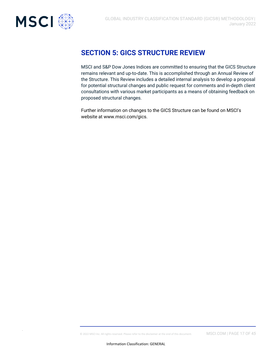<span id="page-16-0"></span>

## **SECTION 5: GICS STRUCTURE REVIEW**

MSCI and S&P Dow Jones Indices are committed to ensuring that the GICS Structure remains relevant and up-to-date. This is accomplished through an Annual Review of the Structure. This Review includes a detailed internal analysis to develop a proposal for potential structural changes and public request for comments and in-depth client consultations with various market participants as a means of obtaining feedback on proposed structural changes.

Further information on changes to the GICS Structure can be found on MSCI's website at [www.msci.com/gics.](http://www.msci.com/gics)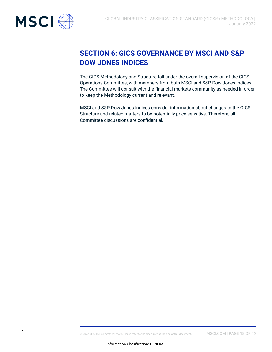<span id="page-17-0"></span>

## **SECTION 6: GICS GOVERNANCE BY MSCI AND S&P DOW JONES INDICES**

The GICS Methodology and Structure fall under the overall supervision of the GICS Operations Committee, with members from both MSCI and S&P Dow Jones Indices. The Committee will consult with the financial markets community as needed in order to keep the Methodology current and relevant.

MSCI and S&P Dow Jones Indices consider information about changes to the GICS Structure and related matters to be potentially price sensitive. Therefore, all Committee discussions are confidential.

© 2022 MSCI Inc. All rights reserved. Please refer to the disclaimer at the end of this document. MSCI.COM | PAGE 18 OF 4*5*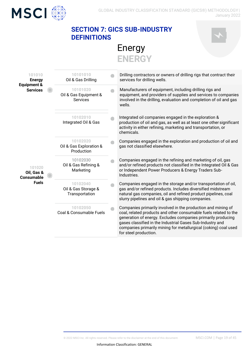

## <span id="page-18-0"></span>**SECTION 7: GICS SUB-INDUSTRY DEFINITIONS**



Energy **ENERGY**

| 10101010<br>Oil & Gas Drilling                       | Drilling contractors or owners of drilling rigs that contract their<br>services for drilling wells.                                                                                                                                                                                                                                                       |
|------------------------------------------------------|-----------------------------------------------------------------------------------------------------------------------------------------------------------------------------------------------------------------------------------------------------------------------------------------------------------------------------------------------------------|
| 10101020<br>Oil & Gas Equipment &<br><b>Services</b> | Manufacturers of equipment, including drilling rigs and<br>equipment, and providers of supplies and services to companies<br>involved in the drilling, evaluation and completion of oil and gas<br>wells.                                                                                                                                                 |
| 10102010<br>Integrated Oil & Gas                     | Integrated oil companies engaged in the exploration &<br>production of oil and gas, as well as at least one other significant<br>activity in either refining, marketing and transportation, or<br>chemicals.                                                                                                                                              |
| 10102020<br>Oil & Gas Exploration &<br>Production    | Companies engaged in the exploration and production of oil and<br>gas not classified elsewhere.                                                                                                                                                                                                                                                           |
| 10102030<br>Oil & Gas Refining &<br>Marketing        | Companies engaged in the refining and marketing of oil, gas<br>and/or refined products not classified in the Integrated Oil & Gas<br>or Independent Power Producers & Energy Traders Sub-<br>Industries.                                                                                                                                                  |
| 10102040<br>Oil & Gas Storage &<br>Transportation    | Companies engaged in the storage and/or transportation of oil,<br>gas and/or refined products. Includes diversified midstream<br>natural gas companies, oil and refined product pipelines, coal<br>slurry pipelines and oil & gas shipping companies.                                                                                                     |
| 10102050<br>Coal & Consumable Fuels                  | Companies primarily involved in the production and mining of<br>coal, related products and other consumable fuels related to the<br>generation of energy. Excludes companies primarily producing<br>gases classified in the Industrial Gases Sub-Industry and<br>companies primarily mining for metallurgical (coking) coal used<br>for steel production. |
|                                                      |                                                                                                                                                                                                                                                                                                                                                           |

© 2022 MSCI Inc. All rights reserved. Please refer to the disclaimer at the end of this document. MSCI.COM | Page 19 of 45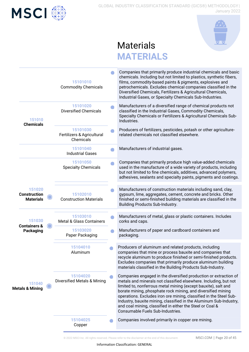



## **Materials MATERIALS**

|                                                   | 15101010<br><b>Commodity Chemicals</b>              | Companies that primarily produce industrial chemicals and basic<br>chemicals. Including but not limited to plastics, synthetic fibers,<br>films, commodity-based paints & pigments, explosives and<br>petrochemicals. Excludes chemical companies classified in the<br>Diversified Chemicals, Fertilizers & Agricultural Chemicals,<br>Industrial Gases, or Specialty Chemicals Sub-Industries.                                                                                                                     |
|---------------------------------------------------|-----------------------------------------------------|---------------------------------------------------------------------------------------------------------------------------------------------------------------------------------------------------------------------------------------------------------------------------------------------------------------------------------------------------------------------------------------------------------------------------------------------------------------------------------------------------------------------|
| 151010<br><b>Chemicals</b>                        | 15101020<br><b>Diversified Chemicals</b>            | Manufacturers of a diversified range of chemical products not<br>classified in the Industrial Gases, Commodity Chemicals,<br>Specialty Chemicals or Fertilizers & Agricultural Chemicals Sub-<br>Industries.                                                                                                                                                                                                                                                                                                        |
|                                                   | 15101030<br>Fertilizers & Agricultural<br>Chemicals | Producers of fertilizers, pesticides, potash or other agriculture-<br>related chemicals not classified elsewhere.                                                                                                                                                                                                                                                                                                                                                                                                   |
|                                                   | 15101040<br><b>Industrial Gases</b>                 | Manufacturers of industrial gases.                                                                                                                                                                                                                                                                                                                                                                                                                                                                                  |
|                                                   | 15101050<br><b>Specialty Chemicals</b>              | Companies that primarily produce high value-added chemicals<br>used in the manufacture of a wide variety of products, including<br>but not limited to fine chemicals, additives, advanced polymers,<br>adhesives, sealants and specialty paints, pigments and coatings.                                                                                                                                                                                                                                             |
| 151020<br><b>Construction</b><br><b>Materials</b> | 15102010<br><b>Construction Materials</b>           | Manufacturers of construction materials including sand, clay,<br>gypsum, lime, aggregates, cement, concrete and bricks. Other<br>finished or semi-finished building materials are classified in the<br>Building Products Sub-Industry.                                                                                                                                                                                                                                                                              |
| 151030<br><b>Containers &amp;</b>                 | 15103010<br><b>Metal &amp; Glass Containers</b>     | Manufacturers of metal, glass or plastic containers. Includes<br>corks and caps.                                                                                                                                                                                                                                                                                                                                                                                                                                    |
| Packaging                                         | 15103020<br>Paper Packaging                         | Manufacturers of paper and cardboard containers and<br>packaging.                                                                                                                                                                                                                                                                                                                                                                                                                                                   |
|                                                   | 15104010<br>Aluminum                                | Producers of aluminum and related products, including<br>companies that mine or process bauxite and companies that<br>recycle aluminum to produce finished or semi-finished products.<br>Excludes companies that primarily produce aluminum building<br>materials classified in the Building Products Sub-Industry.                                                                                                                                                                                                 |
| 151040<br><b>Metals &amp; Mining</b>              | 15104020<br><b>Diversified Metals &amp; Mining</b>  | Companies engaged in the diversified production or extraction of<br>metals and minerals not classified elsewhere. Including, but not<br>limited to, nonferrous metal mining (except bauxite), salt and<br>borate mining, phosphate rock mining, and diversified mining<br>operations. Excludes iron ore mining, classified in the Steel Sub-<br>Industry, bauxite mining, classified in the Aluminum Sub-Industry,<br>and coal mining, classified in either the Steel or Coal &<br>Consumable Fuels Sub-Industries. |
|                                                   | 15104025<br>Copper                                  | Companies involved primarily in copper ore mining.                                                                                                                                                                                                                                                                                                                                                                                                                                                                  |

© 2022 MSCI Inc. All rights reserved. Please refer to the disclaimer at the end of this document. MSCI.COM | Page 20 of 45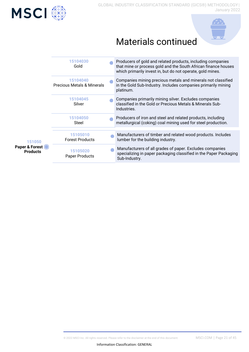



## Materials continued

| 151050<br>Paper & Forest O<br><b>Products</b> | 15104030<br>Gold                       | Producers of gold and related products, including companies<br>that mine or process gold and the South African finance houses<br>which primarily invest in, but do not operate, gold mines. |
|-----------------------------------------------|----------------------------------------|---------------------------------------------------------------------------------------------------------------------------------------------------------------------------------------------|
|                                               | 15104040<br>Precious Metals & Minerals | Companies mining precious metals and minerals not classified<br>in the Gold Sub-Industry. Includes companies primarily mining<br>platinum.                                                  |
|                                               | 15104045<br>Silver                     | Companies primarily mining silver. Excludes companies<br>classified in the Gold or Precious Metals & Minerals Sub-<br>Industries.                                                           |
|                                               | 15104050<br>Steel                      | Producers of iron and steel and related products, including<br>metallurgical (coking) coal mining used for steel production.                                                                |
|                                               | 15105010<br><b>Forest Products</b>     | Manufacturers of timber and related wood products. Includes<br>lumber for the building industry.                                                                                            |
|                                               | 15105020<br>Paper Products             | Manufacturers of all grades of paper. Excludes companies<br>specializing in paper packaging classified in the Paper Packaging<br>Sub-Industry.                                              |
|                                               |                                        |                                                                                                                                                                                             |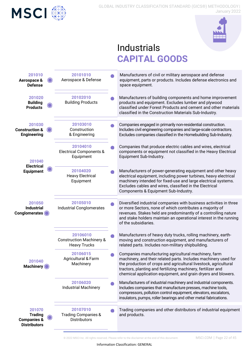



## **Industrials CAPITAL GOODS**



© 2022 MSCI Inc. All rights reserved. Please refer to the disclaimer at the end of this document. MSCI.COM | Page 22 of 45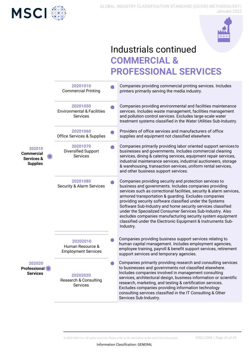



## Industrials continued **COMMERCIAL & PROFESSIONAL SERVICES**

|                                                                         | 20201010<br><b>Commercial Printing</b>                        | Companies providing commercial printing services. Includes<br>printers primarily serving the media industry.                                                                                                                                                                                                                                                                                                                                                                                                                                                                           |
|-------------------------------------------------------------------------|---------------------------------------------------------------|----------------------------------------------------------------------------------------------------------------------------------------------------------------------------------------------------------------------------------------------------------------------------------------------------------------------------------------------------------------------------------------------------------------------------------------------------------------------------------------------------------------------------------------------------------------------------------------|
|                                                                         | 20201050<br><b>Environmental &amp; Facilities</b><br>Services | Companies providing environmental and facilities maintenance<br>services. Includes waste management, facilities management<br>and pollution control services. Excludes large-scale water<br>treatment systems classified in the Water Utilities Sub-Industry.                                                                                                                                                                                                                                                                                                                          |
|                                                                         | 20201060<br><b>Office Services &amp; Supplies</b>             | Providers of office services and manufacturers of office<br>supplies and equipment not classified elsewhere.                                                                                                                                                                                                                                                                                                                                                                                                                                                                           |
| 202010<br><b>Commercial</b><br><b>Services &amp;</b><br><b>Supplies</b> | 20201070<br><b>Diversified Support</b><br>Services            | Companies primarily providing labor oriented support services to<br>businesses and governments. Includes commercial cleaning<br>services, dining & catering services, equipment repair services,<br>industrial maintenance services, industrial auctioneers, storage<br>& warehousing, transaction services, uniform rental services,<br>and other business support services.                                                                                                                                                                                                          |
|                                                                         | 20201080<br><b>Security &amp; Alarm Services</b>              | Companies providing security and protection services to<br>business and governments. Includes companies providing<br>services such as correctional facilities, security & alarm services,<br>armored transportation & guarding. Excludes companies<br>providing security software classified under the Systems<br>Software Sub-Industry and home security services classified<br>under the Specialized Consumer Services Sub-Industry. Also<br>excludes companies manufacturing security system equipment<br>classified under the Electronic Equipment & Instruments Sub-<br>Industry. |
| 202020<br><b>Professional</b><br><b>Services</b>                        | 20202010<br>Human Resource &<br><b>Employment Services</b>    | Companies providing business support services relating to<br>human capital management. Includes employment agencies,<br>employee training, payroll & benefit support services, retirement<br>support services and temporary agencies.                                                                                                                                                                                                                                                                                                                                                  |
|                                                                         | 20202020<br>Research & Consulting<br><b>Services</b>          | Companies primarily providing research and consulting services<br>to businesses and governments not classified elsewhere.<br>Includes companies involved in management consulting<br>services, architectural design, business information or scientific<br>research, marketing, and testing & certification services.<br>Excludes companies providing information technology<br>consulting services classified in the IT Consulting & Other<br>Services Sub-Industry.                                                                                                                  |
|                                                                         |                                                               |                                                                                                                                                                                                                                                                                                                                                                                                                                                                                                                                                                                        |

© 2022 MSCI Inc. All rights reserved. Please refer to the disclaimer at the end of this document. MSCI.COM | Page 23 of 45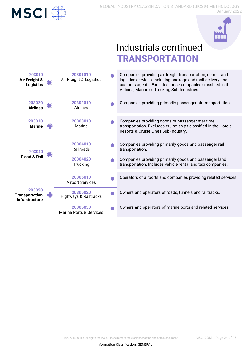



## Industrials continued **TRANSPORTATION**

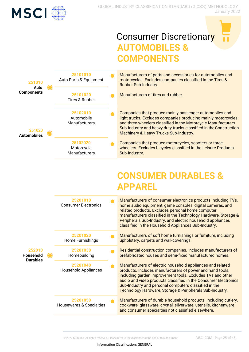

## **Consumer Discretionary AUTOMOBILES & COMPONENTS**



Manufacturers of parts and accessories for automobiles and motorcycles. Excludes companies classified in the Tires & Rubber Sub-Industry.

Manufacturers of tires and rubber.

Companies that produce mainly passenger automobiles and light trucks. Excludes companies producing mainly motorcycles and three-wheelers classified in the Motorcycle Manufacturers Sub-Industry and heavy duty trucks classified in theConstruction Machinery & Heavy Trucks Sub-Industry.

Companies that produce motorcycles, scooters or threewheelers. Excludes bicycles classified in the Leisure Products Sub-Industry.

## **CONSUMER DURABLES & APPAREL**

|                     | 25201010<br><b>Consumer Electronics</b> | Manufacturers of consumer electronics products including TVs,<br>home audio equipment, game consoles, digital cameras, and<br>related products. Excludes personal home computer<br>manufacturers classified in the Technology Hardware, Storage &<br>Peripherals Sub-Industry, and electric household appliances<br>classified in the Household Appliances Sub-Industry.      |
|---------------------|-----------------------------------------|-------------------------------------------------------------------------------------------------------------------------------------------------------------------------------------------------------------------------------------------------------------------------------------------------------------------------------------------------------------------------------|
|                     | 25201020<br>Home Furnishings            | Manufacturers of soft home furnishings or furniture, including<br>upholstery, carpets and wall-coverings.                                                                                                                                                                                                                                                                     |
| 252010<br>Household | 25201030<br>Homebuilding                | Residential construction companies. Includes manufacturers of<br>prefabricated houses and semi-fixed manufactured homes.                                                                                                                                                                                                                                                      |
| <b>Durables</b>     | 25201040<br><b>Household Appliances</b> | Manufacturers of electric household appliances and related<br>products. Includes manufacturers of power and hand tools,<br>including garden improvement tools. Excludes TVs and other<br>audio and video products classified in the Consumer Electronics<br>Sub-Industry and personal computers classified in the<br>Technology Hardware, Storage & Peripherals Sub-Industry. |
|                     | 25201050<br>Housewares & Specialties    | Manufacturers of durable household products, including cutlery,<br>cookware, glassware, crystal, silverware, utensils, kitchenware<br>and consumer specialties not classified elsewhere.                                                                                                                                                                                      |

© 2022 MSCI Inc. All rights reserved. Please refer to the disclaimer at the end of this document. MSCI.COM| Page 25 of 45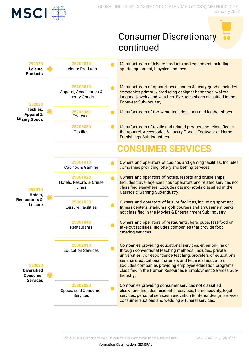

# Consumer Discretionary continued

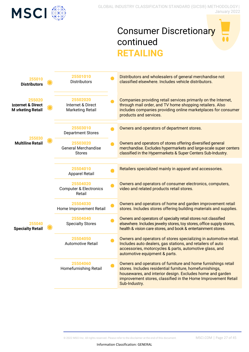

## Consumer Discretionary continued **RETAILING**

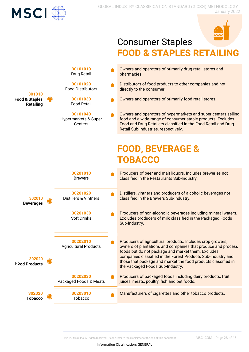



## Consumer Staples **FOOD & STAPLES RETAIL**

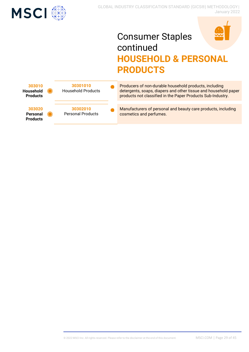

## Consumer Staples continued **HOUSEHOLD & PERSONAL PRODUCTS**



Producers of non-durable household products, including detergents, soaps, diapers and other tissue and household paper products not classified in the Paper Products Sub-Industry.

Manufacturers of personal and beauty care products, including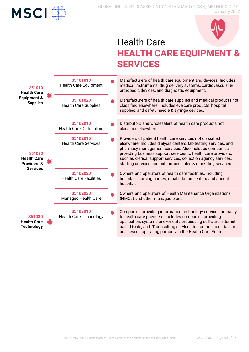



## Health Care **HEALTH CARE EQUIPMENT & SERVICES**

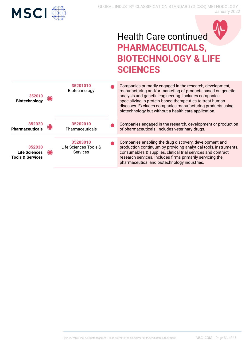



## Health Care continued **PHARMACEUTICALS, BIOTECHNOLOGY & LIFE SCIENCES**

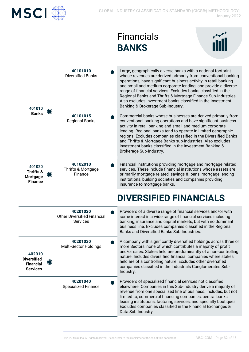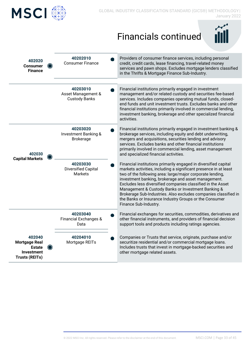

## Financials continued



| 402020<br><b>Consumer</b><br><b>Finance</b>                                                   | 40202010<br><b>Consumer Finance</b>                      | Providers of consumer finance services, including personal<br>credit, credit cards, lease financing, travel-related money<br>services and pawn shops. Excludes mortgage lenders classified<br>in the Thrifts & Mortgage Finance Sub-Industry.                                                                                                                                                                                                                                                                                      |
|-----------------------------------------------------------------------------------------------|----------------------------------------------------------|------------------------------------------------------------------------------------------------------------------------------------------------------------------------------------------------------------------------------------------------------------------------------------------------------------------------------------------------------------------------------------------------------------------------------------------------------------------------------------------------------------------------------------|
|                                                                                               |                                                          |                                                                                                                                                                                                                                                                                                                                                                                                                                                                                                                                    |
|                                                                                               | 40203010<br>Asset Management &<br><b>Custody Banks</b>   | Financial institutions primarily engaged in investment<br>management and/or related custody and securities fee-based<br>services. Includes companies operating mutual funds, closed-<br>end funds and unit investment trusts. Excludes banks and other<br>financial institutions primarily involved in commercial lending,<br>investment banking, brokerage and other specialized financial<br>activities.                                                                                                                         |
| 402030<br><b>Capital Markets</b>                                                              | 40203020<br>Investment Banking &<br><b>Brokerage</b>     | Financial institutions primarily engaged in investment banking &<br>brokerage services, including equity and debt underwriting,<br>mergers and acquisitions, securities lending and advisory<br>services. Excludes banks and other financial institutions<br>primarily involved in commercial lending, asset management<br>and specialized financial activities.                                                                                                                                                                   |
|                                                                                               | 40203030<br><b>Diversified Capital</b><br><b>Markets</b> | Financial institutions primarily engaged in diversified capital<br>markets activities, including a significant presence in at least<br>two of the following area: large/major corporate lending,<br>investment banking, brokerage and asset management.<br>Excludes less diversified companies classified in the Asset<br>Management & Custody Banks or Investment Banking &<br>Brokerage Sub-Industries. Also excludes companies classified in<br>the Banks or Insurance Industry Groups or the Consumer<br>Finance Sub-Industry. |
|                                                                                               | 40203040<br><b>Financial Exchanges &amp;</b><br>Data     | Financial exchanges for securities, commodities, derivatives and<br>other financial instruments, and providers of financial decision<br>support tools and products including ratings agencies.                                                                                                                                                                                                                                                                                                                                     |
| 402040<br><b>Mortgage Real</b><br><b>Estate</b><br><b>Investment</b><br><b>Trusts (REITs)</b> | 40204010<br>Mortgage REITs                               | Companies or Trusts that service, originate, purchase and/or<br>securitize residential and/or commercial mortgage loans.<br>Includes trusts that invest in mortgage-backed securities and<br>other mortgage related assets.                                                                                                                                                                                                                                                                                                        |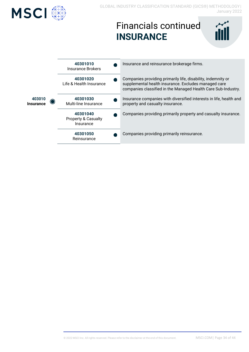

## Financials continued **INSURANCE**

| iill |  |
|------|--|
|      |  |

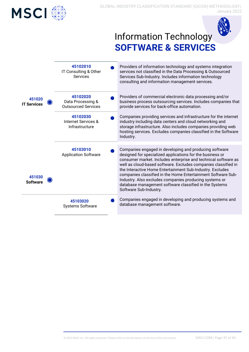



## Information Technology **SOFTWARE & SERVICES**

|                              | 45102010<br>IT Consulting & Other<br>Services               | Providers of information technology and systems integration<br>services not classified in the Data Processing & Outsourced<br>Services Sub-Industry. Includes information technology<br>consulting and information management services.                                                                                                                                                                                                                                                                                            |
|------------------------------|-------------------------------------------------------------|------------------------------------------------------------------------------------------------------------------------------------------------------------------------------------------------------------------------------------------------------------------------------------------------------------------------------------------------------------------------------------------------------------------------------------------------------------------------------------------------------------------------------------|
| 451020<br><b>IT Services</b> | 45102020<br>Data Processing &<br><b>Outsourced Services</b> | Providers of commercial electronic data processing and/or<br>business process outsourcing services. Includes companies that<br>provide services for back-office automation.                                                                                                                                                                                                                                                                                                                                                        |
|                              | 45102030<br>Internet Services &<br>Infrastructure           | Companies providing services and infrastructure for the internet<br>industry including data centers and cloud networking and<br>storage infrastructure. Also includes companies providing web<br>hosting services. Excludes companies classified in the Software<br>Industry.                                                                                                                                                                                                                                                      |
|                              |                                                             |                                                                                                                                                                                                                                                                                                                                                                                                                                                                                                                                    |
| 451030<br><b>Software</b>    | 45103010<br><b>Application Software</b>                     | Companies engaged in developing and producing software<br>designed for specialized applications for the business or<br>consumer market. Includes enterprise and technical software as<br>well as cloud-based software. Excludes companies classified in<br>the Interactive Home Entertainment Sub-Industry. Excludes<br>companies classified in the Home Entertainment Software Sub-<br>Industry. Also excludes companies producing systems or<br>database management software classified in the Systems<br>Software Sub-Industry. |
|                              | 45103020<br><b>Systems Software</b>                         | Companies engaged in developing and producing systems and<br>database management software.                                                                                                                                                                                                                                                                                                                                                                                                                                         |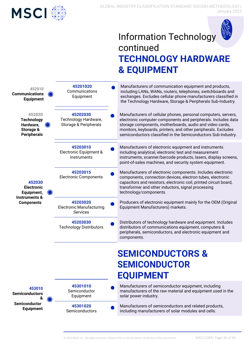

## Information Technology continued **TECHNOLOGY HARDWARE & EQUIPMENT**

| 452010<br><b>Communications</b><br><b>Equipment</b>                         |  | 45201020<br>Communications<br>Equipment                   | Manufacturers of communication equipment and products,<br>including LANs, WANs, routers, telephones, switchboards and<br>exchanges. Excludes cellular phone manufacturers classified in<br>the Technology Hardware, Storage & Peripherals Sub-Industry.                                                                        |
|-----------------------------------------------------------------------------|--|-----------------------------------------------------------|--------------------------------------------------------------------------------------------------------------------------------------------------------------------------------------------------------------------------------------------------------------------------------------------------------------------------------|
| 452020<br><b>Technology</b><br>Hardware,<br>Storage &<br><b>Peripherals</b> |  | 45202030<br>Technology Hardware,<br>Storage & Peripherals | Manufacturers of cellular phones, personal computers, servers,<br>electronic computer components and peripherals. Includes data<br>storage components, motherboards, audio and video cards,<br>monitors, keyboards, printers, and other peripherals. Excludes<br>semiconductors classified in the Semiconductors Sub-Industry. |
|                                                                             |  | 45203010<br>Electronic Equipment &<br>Instruments         | Manufacturers of electronic equipment and instruments<br>including analytical, electronic test and measurement<br>instruments, scanner/barcode products, lasers, display screens,<br>point-of-sales machines, and security system equipment.                                                                                   |
| 452030<br><b>Electronic</b><br>Equipment,                                   |  | 45203015<br><b>Electronic Components</b>                  | Manufacturers of electronic components. Includes electronic<br>components, connection devices, electron tubes, electronic<br>capacitors and resistors, electronic coil, printed circuit board,<br>transformer and other inductors, signal processing<br>technology/components.                                                 |
| <b>Instruments &amp;</b><br><b>Components</b>                               |  | 45203020<br><b>Electronic Manufacturing</b><br>Services   | Producers of electronic equipment mainly for the OEM (Original<br>Equipment Manufacturers) markets.                                                                                                                                                                                                                            |
|                                                                             |  | 45203030<br><b>Technology Distributors</b>                | Distributors of technology hardware and equipment. Includes<br>distributors of communications equipment, computers &<br>peripherals, semiconductors, and electronic equipment and<br>components.                                                                                                                               |
|                                                                             |  |                                                           | <b>SEMICONDUCTORS &amp;</b>                                                                                                                                                                                                                                                                                                    |
|                                                                             |  |                                                           | <b>SEMICONDUCTOR</b>                                                                                                                                                                                                                                                                                                           |
|                                                                             |  |                                                           | <b>EQUIPMENT</b>                                                                                                                                                                                                                                                                                                               |
| 453010<br><b>Semiconductors</b><br>&                                        |  | 45301010<br>Semiconductor<br>Equipment                    | Manufacturers of semiconductor equipment, including<br>manufacturers of the raw material and equipment used in the<br>solar power industry.                                                                                                                                                                                    |
| <b>Semiconductor</b><br><b>Equipment</b>                                    |  | 45301020<br>Semiconductors                                | Manufacturers of semiconductors and related products,<br>including manufacturers of solar modules and cells.                                                                                                                                                                                                                   |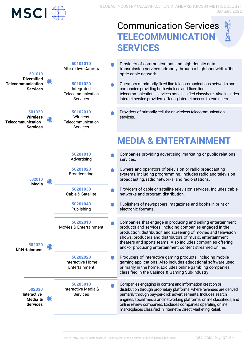

## Communication Services **TELECOMMUNICATION SERVICES**

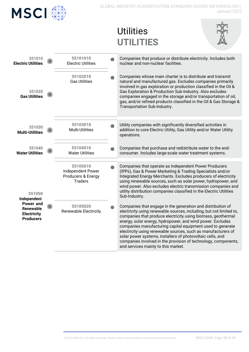| <b>MSCI</b>                                                      |                                                                       | GLOBAL INDUSTRY CLASSIFICATION STANDARD (GICS®) METHODOLOGY <br>January 2022                                                                                                                                                                                                                                                                                                                                                                                                                                                                                           |
|------------------------------------------------------------------|-----------------------------------------------------------------------|------------------------------------------------------------------------------------------------------------------------------------------------------------------------------------------------------------------------------------------------------------------------------------------------------------------------------------------------------------------------------------------------------------------------------------------------------------------------------------------------------------------------------------------------------------------------|
|                                                                  |                                                                       | <b>Utilities</b><br><b>UTILITIES</b>                                                                                                                                                                                                                                                                                                                                                                                                                                                                                                                                   |
| 551010<br><b>Electric Utilities</b>                              | 55101010<br><b>Electric Utilities</b>                                 | Companies that produce or distribute electricity. Includes both<br>nuclear and non-nuclear facilities.                                                                                                                                                                                                                                                                                                                                                                                                                                                                 |
| 551020<br><b>Gas Utilities</b>                                   | 55102010<br><b>Gas Utilities</b>                                      | Companies whose main charter is to distribute and transmit<br>natural and manufactured gas. Excludes companies primarily<br>involved in gas exploration or production classified in the Oil &<br>Gas Exploration & Production Sub-Industry. Also excludes<br>companies engaged in the storage and/or transportation of oil,<br>gas, and/or refined products classified in the Oil & Gas Storage &<br>Transportation Sub-Industry.                                                                                                                                      |
| 551030<br><b>Multi-Utilities</b>                                 | 55103010<br>Multi-Utilities                                           | Utility companies with significantly diversified activities in<br>addition to core Electric Utility, Gas Utility and/or Water Utility<br>operations.                                                                                                                                                                                                                                                                                                                                                                                                                   |
| 551040<br><b>Water Utilities</b>                                 | 55104010<br><b>Water Utilities</b>                                    | Companies that purchase and redistribute water to the end-<br>consumer. Includes large-scale water treatment systems.                                                                                                                                                                                                                                                                                                                                                                                                                                                  |
| 551050<br>Independent                                            | 55105010<br>Independent Power<br>Producers & Energy<br><b>Traders</b> | Companies that operate as Independent Power Producers<br>(IPPs), Gas & Power Marketing & Trading Specialists and/or<br>Integrated Energy Merchants. Excludes producers of electricity<br>using renewable sources, such as solar power, hydropower, and<br>wind power. Also excludes electric transmission companies and<br>utility distribution companies classified in the Electric Utilities<br>Sub-Industry.                                                                                                                                                        |
| Power and<br>Renewable<br><b>Electricity</b><br><b>Producers</b> | 55105020<br><b>Renewable Electricity</b>                              | Companies that engage in the generation and distribution of<br>electricity using renewable sources, including, but not limited to,<br>companies that produce electricity using biomass, geothermal<br>energy, solar energy, hydropower, and wind power. Excludes<br>companies manufacturing capital equipment used to generate<br>electricity using renewable sources, such as manufacturers of<br>solar power systems, installers of photovoltaic cells, and<br>companies involved in the provision of technology, components,<br>and services mainly to this market. |
|                                                                  |                                                                       |                                                                                                                                                                                                                                                                                                                                                                                                                                                                                                                                                                        |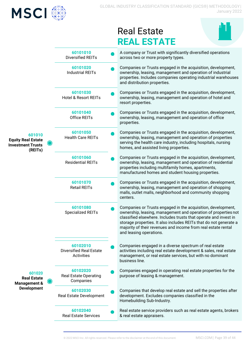

## Real Estate **REAL ESTATE**



|                                                                            |                                                          | RLAL LOTATL                                                                                                                                                                                                                                                                                                                                                         |
|----------------------------------------------------------------------------|----------------------------------------------------------|---------------------------------------------------------------------------------------------------------------------------------------------------------------------------------------------------------------------------------------------------------------------------------------------------------------------------------------------------------------------|
|                                                                            | 60101010<br>Diversified REITs                            | A company or Trust with significantly diversified operations<br>across two or more property types.                                                                                                                                                                                                                                                                  |
|                                                                            | 60101020<br><b>Industrial REITs</b>                      | Companies or Trusts engaged in the acquisition, development,<br>ownership, leasing, management and operation of industrial<br>properties. Includes companies operating industrial warehouses<br>and distribution properties.                                                                                                                                        |
|                                                                            | 60101030<br><b>Hotel &amp; Resort REITs</b>              | Companies or Trusts engaged in the acquisition, development,<br>ownership, leasing, management and operation of hotel and<br>resort properties.                                                                                                                                                                                                                     |
|                                                                            | 60101040<br>Office REITs                                 | Companies or Trusts engaged in the acquisition, development,<br>ownership, leasing, management and operation of office<br>properties.                                                                                                                                                                                                                               |
| 601010<br><b>Equity Real Estate</b><br><b>Investment Trusts</b><br>(REITs) | 60101050<br><b>Health Care REITs</b>                     | Companies or Trusts engaged in the acquisition, development,<br>ownership, leasing, management and operation of properties<br>serving the health care industry, including hospitals, nursing<br>homes, and assisted living properties.                                                                                                                              |
|                                                                            | 60101060<br><b>Residential REITs</b>                     | Companies or Trusts engaged in the acquisition, development,<br>ownership, leasing, management and operation of residential<br>properties including multifamily homes, apartments,<br>manufactured homes and student housing properties.                                                                                                                            |
|                                                                            | 60101070<br><b>Retail REITs</b>                          | Companies or Trusts engaged in the acquisition, development,<br>ownership, leasing, management and operation of shopping<br>malls, outlet malls, neighborhood and community shopping<br>centers.                                                                                                                                                                    |
|                                                                            | 60101080<br><b>Specialized REITs</b>                     | Companies or Trusts engaged in the acquisition, development,<br>ownership, leasing, management and operation of properties not<br>classified elsewhere. Includes trusts that operate and invest in<br>storage properties. It also includes REITs that do not generate a<br>majority of their revenues and income from real estate rental<br>and leasing operations. |
|                                                                            | 60102010<br><b>Diversified Real Estate</b><br>Activities | Companies engaged in a diverse spectrum of real estate<br>activities including real estate development & sales, real estate<br>management, or real estate services, but with no dominant<br>business line.                                                                                                                                                          |
| 601020<br><b>Real Estate</b><br><b>Management &amp;</b>                    | 60102020<br><b>Real Estate Operating</b><br>Companies    | Companies engaged in operating real estate properties for the<br>purpose of leasing & management.                                                                                                                                                                                                                                                                   |
| <b>Development</b>                                                         | 60102030<br>Real Estate Development                      | Companies that develop real estate and sell the properties after<br>development. Excludes companies classified in the<br>Homebuilding Sub-Industry.                                                                                                                                                                                                                 |
|                                                                            | 60102040<br><b>Real Estate Services</b>                  | Real estate service providers such as real estate agents, brokers<br>& real estate appraisers.                                                                                                                                                                                                                                                                      |
|                                                                            |                                                          |                                                                                                                                                                                                                                                                                                                                                                     |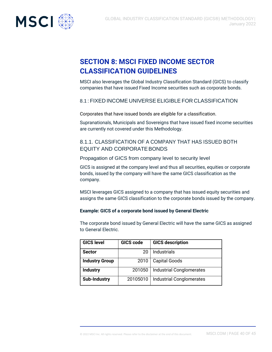<span id="page-39-0"></span>

## **SECTION 8: MSCI FIXED INCOME SECTOR CLASSIFICATION GUIDELINES**

MSCI also leverages the Global Industry Classification Standard (GICS) to classify companies that have issued Fixed Income securities such as corporate bonds.

### <span id="page-39-1"></span>8.1 : FIXED INCOME UNIVERSE ELIGIBLE FOR CLASSIFICATION

Corporates that have issued bonds are eligible for a classification.

Supranationals, Municipals and Sovereigns that have issued fixed income securities are currently not covered under this Methodology.

### <span id="page-39-2"></span>8.1.1. CLASSIFICATION OF A COMPANY THAT HAS ISSUED BOTH EQUITY AND CORPORATE BONDS

Propagation of GICS from company level to security level

GICS is assigned at the company level and thus all securities, equities or corporate bonds, issued by the company will have the same GICS classification as the company.

MSCI leverages GICS assigned to a company that has issued equity securities and assigns the same GICS classification to the corporate bonds issued by the company.

### **Example: GICS of a corporate bond issued by General Electric**

The corporate bond issued by General Electric will have the same GICS as assigned to General Electric.

| <b>GICS level</b>     | <b>GICS code</b> | <b>GICS description</b>         |
|-----------------------|------------------|---------------------------------|
| <b>Sector</b>         | 20               | Industrials                     |
| <b>Industry Group</b> | 2010             | <b>Capital Goods</b>            |
| <b>Industry</b>       | 201050           | <b>Industrial Conglomerates</b> |
| <b>Sub-Industry</b>   | 20105010         | <b>Industrial Conglomerates</b> |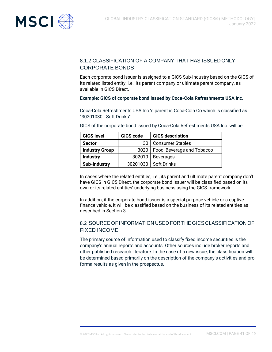<span id="page-40-0"></span>

### 8.1.2 CLASSIFICATION OF A COMPANY THAT HAS ISSUEDONLY CORPORATE BONDS

Each corporate bond issuer is assigned to a GICS Sub-Industry based on the GICS of its related listed entity, i.e., its parent company or ultimate parent company, as available in GICS Direct.

### **Example: GICS of corporate bond issued by Coca-Cola Refreshments USA Inc.**

Coca-Cola Refreshments USA Inc.'s parent is Coca-Cola Co which is classified as "30201030 - Soft Drinks".

| <b>GICS level</b>     | GICS code | <b>GICS description</b>    |
|-----------------------|-----------|----------------------------|
| <b>Sector</b>         | 30        | <b>Consumer Staples</b>    |
| <b>Industry Group</b> | 3020      | Food, Beverage and Tobacco |
| <b>Industry</b>       | 302010    | <b>Beverages</b>           |
| <b>Sub-Industry</b>   | 30201030  | <b>Soft Drinks</b>         |

GICS of the corporate bond issued by Coca-Cola Refreshments USA Inc. will be:

In cases where the related entities, i.e., its parent and ultimate parent company don't have GICS in GICS Direct, the corporate bond issuer will be classified based on its own or its related entities' underlying business using the GICS framework.

In addition, if the corporate bond issuer is a special purpose vehicle or a captive finance vehicle, it will be classified based on the business of its related entities as described in Section 3.

### 8.2 SOURCE OFINFORMATION USED FOR THE GICS CLASSIFICATION OF FIXED INCOME

The primary source of information used to classify fixed income securities is the company's annual reports and accounts. Other sources include broker reports and other published research literature. In the case of a new issue, the classification will be determined based primarily on the description of the company's activities and pro forma results as given in the prospectus.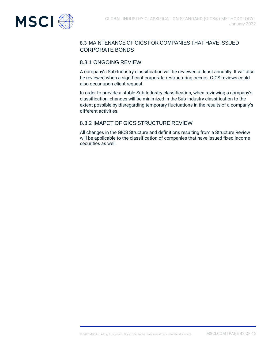<span id="page-41-1"></span><span id="page-41-0"></span>

### 8.3 MAINTENANCE OF GICS FOR COMPANIES THAT HAVE ISSUED CORPORATE BONDS

### 8.3.1 ONGOING REVIEW

A company's Sub-Industry classification will be reviewed at least annually. It will also be reviewed when a significant corporate restructuring occurs. GICS reviews could also occur upon client request.

In order to provide a stable Sub-Industry classification, when reviewing a company's classification, changes will be minimized in the Sub-Industry classification to the extent possible by disregarding temporary fluctuations in the results of a company's different activities.

### 8.3.2 IMAPCT OF GICS STRUCTURE REVIEW

All changes in the GICS Structure and definitions resulting from a Structure Review will be applicable to the classification of companies that have issued fixed income securities as well.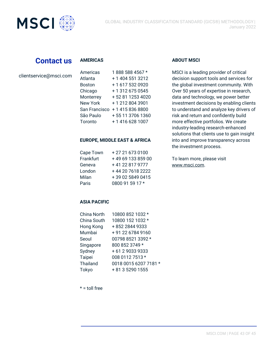

## **Contact us**

| clientservice@msci.com |  |
|------------------------|--|
|------------------------|--|

| Annencas        | T 1 000 000 4007 ° |
|-----------------|--------------------|
| Atlanta         | + 1 404 551 3212   |
| <b>Boston</b>   | +1 617 532 0920    |
| Chicago         | +13126750545       |
| Monterrey       | +52 81 1253 4020   |
| <b>New York</b> | +12128043901       |
| San Francisco   | +14158368800       |
| São Paulo       | +55 11 3706 1360   |
| Toronto         | +1 416 628 1007    |

#### **EUROPE, MIDDLE EAST & AFRICA**

| Cape Town | +27 21 673 0100  |
|-----------|------------------|
| Frankfurt | +496913385900    |
| Geneva    | +41 22 817 9777  |
| London    | +44 20 7618 2222 |
| Milan     | +39 02 5849 0415 |
| Paris     | 0800 91 59 17 *  |

### **ASIA PACIFIC**

| <b>China North</b> | 10800 852 1032 *      |
|--------------------|-----------------------|
| China South        | 10800 152 1032 *      |
| Hong Kong          | +852 2844 9333        |
| Mumbai             | + 91 22 6784 9160     |
| Seoul              | 00798 8521 3392 *     |
| Singapore          | 800 852 3749 *        |
| Sydney             | +61290339333          |
| Taipei             | 008 0112 7513 *       |
| Thailand           | 0018 0015 6207 7181 * |
| Tokyo              | + 81 3 5290 1555      |

 $* =$  toll free

#### **AMERICAS ABOUT MSCI**

into and improve transparency across the investment process. Americas 1888 588 4567 \* MSCI is a leading provider of critical decision support tools and services for the global investment community. With Over 50 years of expertise in research, data and technology, we power better investment decisions by enabling clients to understand and analyze key drivers of risk and return and confidently build more effective portfolios. We create industry-leading research-enhanced solutions that clients use to gain insight

> To learn more, please visit [www.msci.com.](https://www.msci.com/)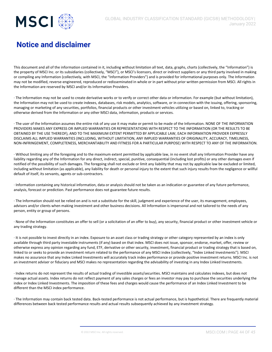

## **Notice and disclaimer**

This document and all of the information contained in it, including without limitation all text, data, graphs, charts (collectively, the "Information") is the property of MSCI Inc. or its subsidiaries (collectively, "MSCI"), or MSCI's licensors, direct or indirect suppliers or any third party involved in making or compiling any Information (collectively, with MSCI, the "Information Providers") and is provided for informational purposes only. The Information may not be modified, reverse-engineered, reproduced or redisseminated in whole or in part without prior written permission from MSCI. All rights in the Information are reserved by MSCI and/or its Information Providers.

· The Information may not be used to create derivative works or to verify or correct other data or information. For example (but without limitation), the Information may not be used to create indexes, databases, risk models, analytics, software, or in connection with the issuing, offering, sponsoring, managing or marketing of any securities, portfolios, financial products or other investment vehicles utilizing or based on, linked to, tracking or otherwise derived from the Information or any other MSCI data, information, products or services.

· The user of the Information assumes the entire risk of any use it may make or permit to be made of the Information. NONE OF THE INFORMATION PROVIDERS MAKES ANY EXPRESS OR IMPLIED WARRANTIES OR REPRESENTATIONS WITH RESPECT TO THE INFORMATION (OR THE RESULTS TO BE OBTAINED BY THE USE THEREOF), AND TO THE MAXIMUM EXTENT PERMITTED BY APPLICABLE LAW, EACH INFORMATION PROVIDER EXPRESSLY DISCLAIMS ALL IMPLIED WARRANTIES (INCLUDING, WITHOUT LIMITATION, ANY IMPLIED WARRANTIES OF ORIGINALITY, ACCURACY, TIMELINESS, NON-INFRINGEMENT, COMPLETENESS, MERCHANTABILITY AND FITNESS FOR A PARTICULAR PURPOSE) WITH RESPECT TO ANY OF THE INFORMATION.

· Without limiting any of the foregoing and to the maximum extent permitted by applicable law, in no event shall any Information Provider have any liability regarding any of the Information for any direct, indirect, special, punitive, consequential (including lost profits) or any other damages even if notified of the possibility of such damages. The foregoing shall not exclude or limit any liability that may not by applicable law be excluded or limited, including without limitation (as applicable), any liability for death or personal injury to the extent that such injury results from the negligence or willful default of itself, its servants, agents or sub-contractors.

· Information containing any historical information, data or analysis should not be taken as an indication or guarantee of any future performance, analysis, forecast or prediction. Past performance does not guarantee future results.

· The Information should not be relied on and is not a substitute for the skill, judgment and experience of the user, its management, employees, advisors and/or clients when making investment and other business decisions. All Information is impersonal and not tailored to the needs of any person, entity or group of persons.

· None of the Information constitutes an offer to sell (or a solicitation of an offer to buy), any security, financial product or other investment vehicle or any trading strategy.

· It is not possible to invest directly in an index. Exposure to an asset class or trading strategy or other category represented by an index is only available through third party investable instruments (if any) based on that index. MSCI does not issue, sponsor, endorse, market, offer, review or otherwise express any opinion regarding any fund, ETF, derivative or other security, investment, financial product or trading strategy that is based on, linked to or seeks to provide an investment return related to the performance of any MSCI index (collectively, "Index Linked Investments"). MSCI makes no assurance that any Index Linked Investments will accurately track index performance or provide positive investment returns. MSCI Inc. is not an investment adviser or fiduciary and MSCI makes no representation regarding the advisability of investing in any Index Linked Investments.

· Index returns do not represent the results of actual trading of investible assets/securities. MSCI maintains and calculates indexes, but does not manage actual assets. Index returns do not reflect payment of any sales charges or fees an investor may pay to purchase the securities underlying the index or Index Linked Investments. The imposition of these fees and charges would cause the performance of an Index Linked Investment to be different than the MSCI index performance.

· The Information may contain back tested data. Back-tested performance is not actual performance, but is hypothetical. There are frequently material differences between back tested performance results and actual results subsequently achieved by any investment strategy.